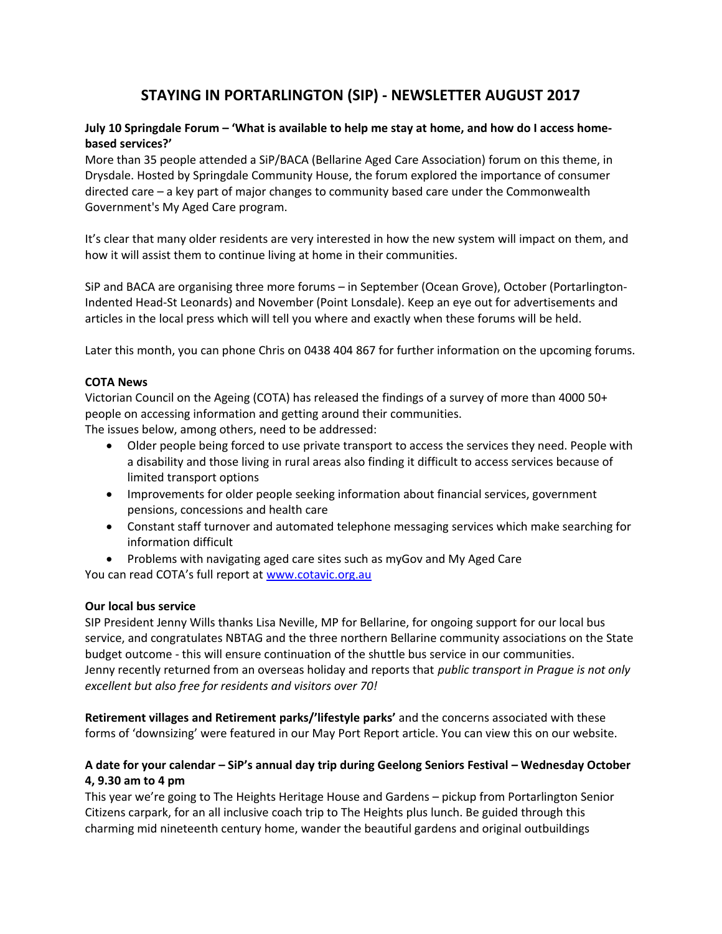# **STAYING IN PORTARLINGTON (SIP) - NEWSLETTER AUGUST 2017**

## **July 10 Springdale Forum – 'What is available to help me stay at home, and how do I access homebased services?'**

More than 35 people attended a SiP/BACA (Bellarine Aged Care Association) forum on this theme, in Drysdale. Hosted by Springdale Community House, the forum explored the importance of consumer directed care – a key part of major changes to community based care under the Commonwealth Government's My Aged Care program.

It's clear that many older residents are very interested in how the new system will impact on them, and how it will assist them to continue living at home in their communities.

SiP and BACA are organising three more forums – in September (Ocean Grove), October (Portarlington-Indented Head-St Leonards) and November (Point Lonsdale). Keep an eye out for advertisements and articles in the local press which will tell you where and exactly when these forums will be held.

Later this month, you can phone Chris on 0438 404 867 for further information on the upcoming forums.

### **COTA News**

Victorian Council on the Ageing (COTA) has released the findings of a survey of more than 4000 50+ people on accessing information and getting around their communities.

The issues below, among others, need to be addressed:

- Older people being forced to use private transport to access the services they need. People with a disability and those living in rural areas also finding it difficult to access services because of limited transport options
- Improvements for older people seeking information about financial services, government pensions, concessions and health care
- Constant staff turnover and automated telephone messaging services which make searching for information difficult
- Problems with navigating aged care sites such as myGov and My Aged Care

You can read COTA's full report at [www.cotavic.org.au](http://www.cotavic.org.au/)

### **Our local bus service**

SIP President Jenny Wills thanks Lisa Neville, MP for Bellarine, for ongoing support for our local bus service, and congratulates NBTAG and the three northern Bellarine community associations on the State budget outcome - this will ensure continuation of the shuttle bus service in our communities. Jenny recently returned from an overseas holiday and reports that *public transport in Prague is not only excellent but also free for residents and visitors over 70!*

**Retirement villages and Retirement parks/'lifestyle parks'** and the concerns associated with these forms of 'downsizing' were featured in our May Port Report article. You can view this on our website.

## **A date for your calendar – SiP's annual day trip during Geelong Seniors Festival – Wednesday October 4, 9.30 am to 4 pm**

This year we're going to The Heights Heritage House and Gardens – pickup from Portarlington Senior Citizens carpark, for an all inclusive coach trip to The Heights plus lunch. Be guided through this charming mid nineteenth century home, wander the beautiful gardens and original outbuildings